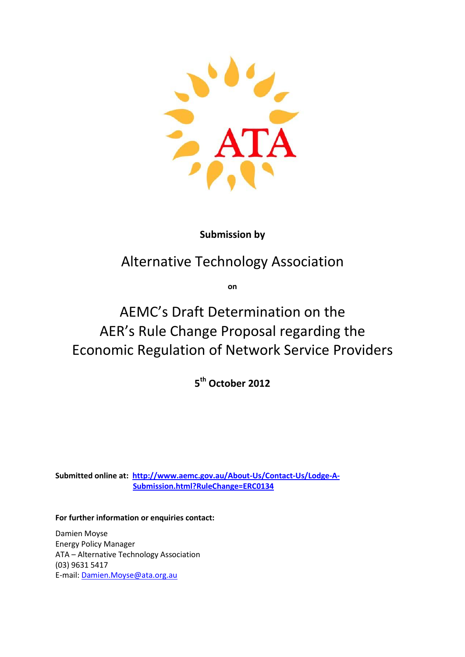

# **Submission by**

# Alternative Technology Association

**on**

# AEMC's Draft Determination on the AER's Rule Change Proposal regarding the Economic Regulation of Network Service Providers

**5 th October 2012**

**Submitted online at: [http://www.aemc.gov.au/About-Us/Contact-Us/Lodge-A-](http://www.aemc.gov.au/About-Us/Contact-Us/Lodge-A-Submission.html?RuleChange=ERC0134)[Submission.html?RuleChange=ERC0134](http://www.aemc.gov.au/About-Us/Contact-Us/Lodge-A-Submission.html?RuleChange=ERC0134)**

**For further information or enquiries contact:**

Damien Moyse Energy Policy Manager ATA – Alternative Technology Association (03) 9631 5417 E-mail: [Damien.Moyse@ata.org.au](mailto:Damien.Moyse@ata.org.au)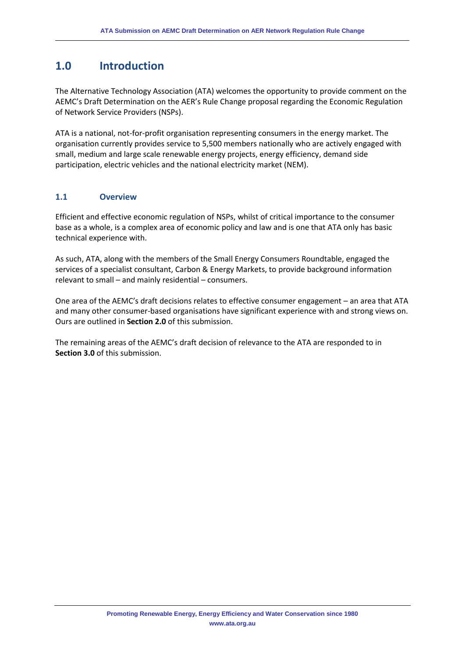# **1.0 Introduction**

The Alternative Technology Association (ATA) welcomes the opportunity to provide comment on the AEMC's Draft Determination on the AER's Rule Change proposal regarding the Economic Regulation of Network Service Providers (NSPs).

ATA is a national, not-for-profit organisation representing consumers in the energy market. The organisation currently provides service to 5,500 members nationally who are actively engaged with small, medium and large scale renewable energy projects, energy efficiency, demand side participation, electric vehicles and the national electricity market (NEM).

## **1.1 Overview**

Efficient and effective economic regulation of NSPs, whilst of critical importance to the consumer base as a whole, is a complex area of economic policy and law and is one that ATA only has basic technical experience with.

As such, ATA, along with the members of the Small Energy Consumers Roundtable, engaged the services of a specialist consultant, Carbon & Energy Markets, to provide background information relevant to small – and mainly residential – consumers.

One area of the AEMC's draft decisions relates to effective consumer engagement – an area that ATA and many other consumer-based organisations have significant experience with and strong views on. Ours are outlined in **Section 2.0** of this submission.

The remaining areas of the AEMC's draft decision of relevance to the ATA are responded to in **Section 3.0** of this submission.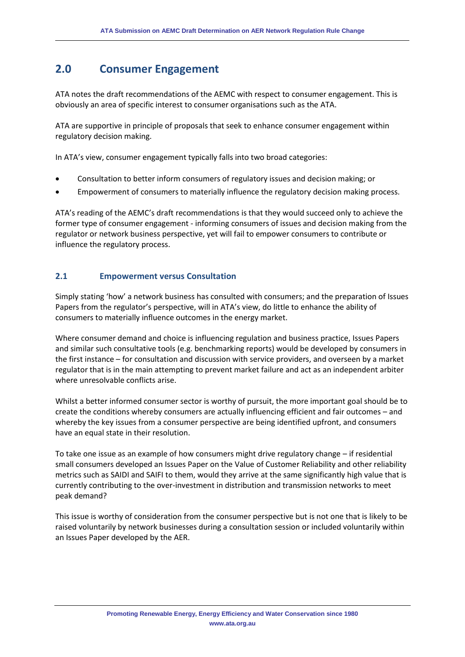# **2.0 Consumer Engagement**

ATA notes the draft recommendations of the AEMC with respect to consumer engagement. This is obviously an area of specific interest to consumer organisations such as the ATA.

ATA are supportive in principle of proposals that seek to enhance consumer engagement within regulatory decision making.

In ATA's view, consumer engagement typically falls into two broad categories:

- Consultation to better inform consumers of regulatory issues and decision making; or
- Empowerment of consumers to materially influence the regulatory decision making process.

ATA's reading of the AEMC's draft recommendations is that they would succeed only to achieve the former type of consumer engagement - informing consumers of issues and decision making from the regulator or network business perspective, yet will fail to empower consumers to contribute or influence the regulatory process.

#### **2.1 Empowerment versus Consultation**

Simply stating 'how' a network business has consulted with consumers; and the preparation of Issues Papers from the regulator's perspective, will in ATA's view, do little to enhance the ability of consumers to materially influence outcomes in the energy market.

Where consumer demand and choice is influencing regulation and business practice, Issues Papers and similar such consultative tools (e.g. benchmarking reports) would be developed by consumers in the first instance – for consultation and discussion with service providers, and overseen by a market regulator that is in the main attempting to prevent market failure and act as an independent arbiter where unresolvable conflicts arise.

Whilst a better informed consumer sector is worthy of pursuit, the more important goal should be to create the conditions whereby consumers are actually influencing efficient and fair outcomes – and whereby the key issues from a consumer perspective are being identified upfront, and consumers have an equal state in their resolution.

To take one issue as an example of how consumers might drive regulatory change – if residential small consumers developed an Issues Paper on the Value of Customer Reliability and other reliability metrics such as SAIDI and SAIFI to them, would they arrive at the same significantly high value that is currently contributing to the over-investment in distribution and transmission networks to meet peak demand?

This issue is worthy of consideration from the consumer perspective but is not one that is likely to be raised voluntarily by network businesses during a consultation session or included voluntarily within an Issues Paper developed by the AER.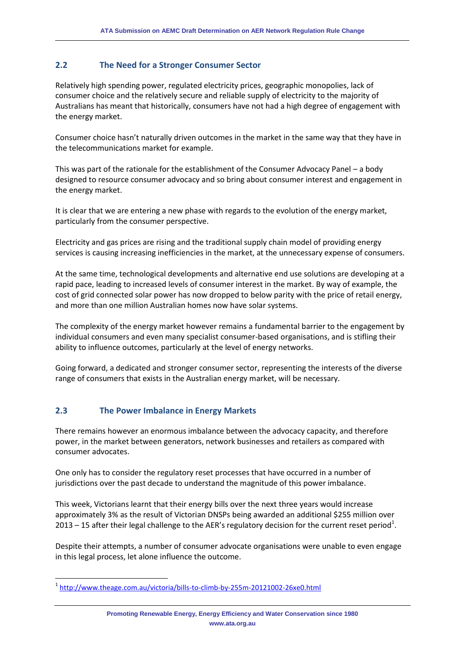## **2.2 The Need for a Stronger Consumer Sector**

Relatively high spending power, regulated electricity prices, geographic monopolies, lack of consumer choice and the relatively secure and reliable supply of electricity to the majority of Australians has meant that historically, consumers have not had a high degree of engagement with the energy market.

Consumer choice hasn't naturally driven outcomes in the market in the same way that they have in the telecommunications market for example.

This was part of the rationale for the establishment of the Consumer Advocacy Panel – a body designed to resource consumer advocacy and so bring about consumer interest and engagement in the energy market.

It is clear that we are entering a new phase with regards to the evolution of the energy market, particularly from the consumer perspective.

Electricity and gas prices are rising and the traditional supply chain model of providing energy services is causing increasing inefficiencies in the market, at the unnecessary expense of consumers.

At the same time, technological developments and alternative end use solutions are developing at a rapid pace, leading to increased levels of consumer interest in the market. By way of example, the cost of grid connected solar power has now dropped to below parity with the price of retail energy, and more than one million Australian homes now have solar systems.

The complexity of the energy market however remains a fundamental barrier to the engagement by individual consumers and even many specialist consumer-based organisations, and is stifling their ability to influence outcomes, particularly at the level of energy networks.

Going forward, a dedicated and stronger consumer sector, representing the interests of the diverse range of consumers that exists in the Australian energy market, will be necessary.

## **2.3 The Power Imbalance in Energy Markets**

 $\overline{a}$ 

There remains however an enormous imbalance between the advocacy capacity, and therefore power, in the market between generators, network businesses and retailers as compared with consumer advocates.

One only has to consider the regulatory reset processes that have occurred in a number of jurisdictions over the past decade to understand the magnitude of this power imbalance.

This week, Victorians learnt that their energy bills over the next three years would increase approximately 3% as the result of Victorian DNSPs being awarded an additional \$255 million over 2013 – 15 after their legal challenge to the AER's regulatory decision for the current reset period<sup>1</sup>.

Despite their attempts, a number of consumer advocate organisations were unable to even engage in this legal process, let alone influence the outcome.

<sup>1</sup> <http://www.theage.com.au/victoria/bills-to-climb-by-255m-20121002-26xe0.html>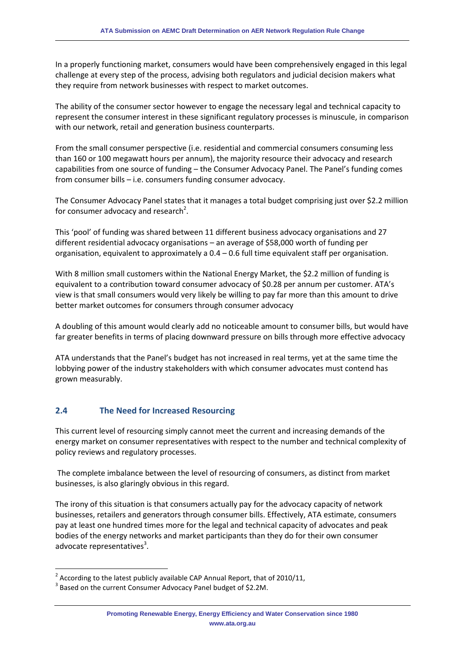In a properly functioning market, consumers would have been comprehensively engaged in this legal challenge at every step of the process, advising both regulators and judicial decision makers what they require from network businesses with respect to market outcomes.

The ability of the consumer sector however to engage the necessary legal and technical capacity to represent the consumer interest in these significant regulatory processes is minuscule, in comparison with our network, retail and generation business counterparts.

From the small consumer perspective (i.e. residential and commercial consumers consuming less than 160 or 100 megawatt hours per annum), the majority resource their advocacy and research capabilities from one source of funding – the Consumer Advocacy Panel. The Panel's funding comes from consumer bills – i.e. consumers funding consumer advocacy.

The Consumer Advocacy Panel states that it manages a total budget comprising just over \$2.2 million for consumer advocacy and research<sup>2</sup>.

This 'pool' of funding was shared between 11 different business advocacy organisations and 27 different residential advocacy organisations – an average of \$58,000 worth of funding per organisation, equivalent to approximately a 0.4 – 0.6 full time equivalent staff per organisation.

With 8 million small customers within the National Energy Market, the \$2.2 million of funding is equivalent to a contribution toward consumer advocacy of \$0.28 per annum per customer. ATA's view is that small consumers would very likely be willing to pay far more than this amount to drive better market outcomes for consumers through consumer advocacy

A doubling of this amount would clearly add no noticeable amount to consumer bills, but would have far greater benefits in terms of placing downward pressure on bills through more effective advocacy

ATA understands that the Panel's budget has not increased in real terms, yet at the same time the lobbying power of the industry stakeholders with which consumer advocates must contend has grown measurably.

## **2.4 The Need for Increased Resourcing**

This current level of resourcing simply cannot meet the current and increasing demands of the energy market on consumer representatives with respect to the number and technical complexity of policy reviews and regulatory processes.

The complete imbalance between the level of resourcing of consumers, as distinct from market businesses, is also glaringly obvious in this regard.

The irony of this situation is that consumers actually pay for the advocacy capacity of network businesses, retailers and generators through consumer bills. Effectively, ATA estimate, consumers pay at least one hundred times more for the legal and technical capacity of advocates and peak bodies of the energy networks and market participants than they do for their own consumer advocate representatives<sup>3</sup>.

 $\overline{\phantom{a}}$ 

<sup>&</sup>lt;sup>2</sup> According to the latest publicly available CAP Annual Report, that of 2010/11,

 $3$  Based on the current Consumer Advocacy Panel budget of \$2.2M.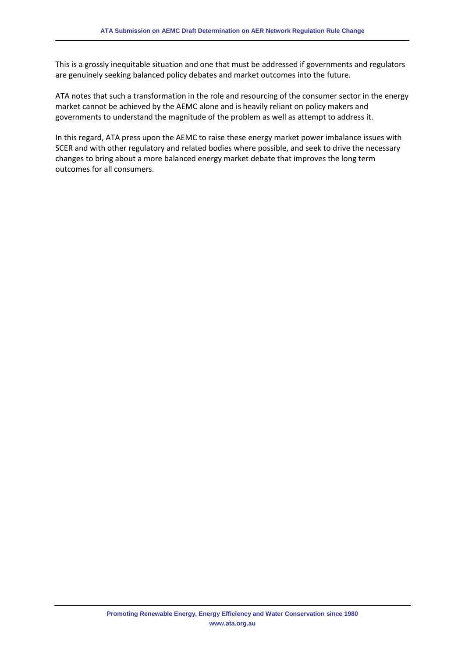This is a grossly inequitable situation and one that must be addressed if governments and regulators are genuinely seeking balanced policy debates and market outcomes into the future.

ATA notes that such a transformation in the role and resourcing of the consumer sector in the energy market cannot be achieved by the AEMC alone and is heavily reliant on policy makers and governments to understand the magnitude of the problem as well as attempt to address it.

In this regard, ATA press upon the AEMC to raise these energy market power imbalance issues with SCER and with other regulatory and related bodies where possible, and seek to drive the necessary changes to bring about a more balanced energy market debate that improves the long term outcomes for all consumers.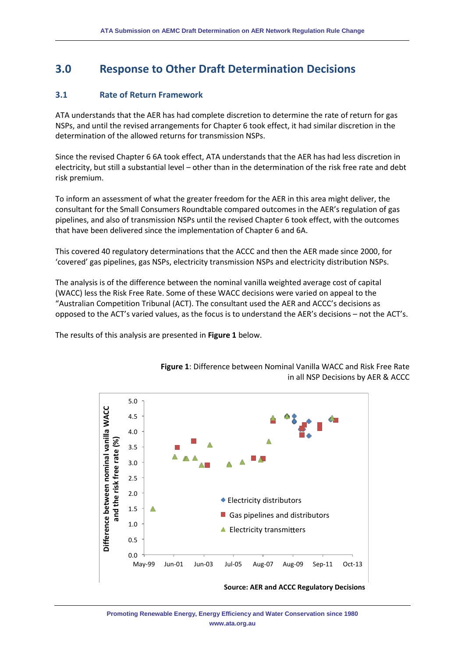# **3.0 Response to Other Draft Determination Decisions**

#### **3.1 Rate of Return Framework**

ATA understands that the AER has had complete discretion to determine the rate of return for gas NSPs, and until the revised arrangements for Chapter 6 took effect, it had similar discretion in the determination of the allowed returns for transmission NSPs.

Since the revised Chapter 6 6A took effect, ATA understands that the AER has had less discretion in electricity, but still a substantial level – other than in the determination of the risk free rate and debt risk premium.

To inform an assessment of what the greater freedom for the AER in this area might deliver, the consultant for the Small Consumers Roundtable compared outcomes in the AER's regulation of gas pipelines, and also of transmission NSPs until the revised Chapter 6 took effect, with the outcomes that have been delivered since the implementation of Chapter 6 and 6A.

This covered 40 regulatory determinations that the ACCC and then the AER made since 2000, for 'covered' gas pipelines, gas NSPs, electricity transmission NSPs and electricity distribution NSPs.

The analysis is of the difference between the nominal vanilla weighted average cost of capital (WACC) less the Risk Free Rate. Some of these WACC decisions were varied on appeal to the "Australian Competition Tribunal (ACT). The consultant used the AER and ACCC's decisions as opposed to the ACT's varied values, as the focus is to understand the AER's decisions – not the ACT's.

The results of this analysis are presented in **Figure 1** below.



**Figure 1**: Difference between Nominal Vanilla WACC and Risk Free Rate in all NSP Decisions by AER & ACCC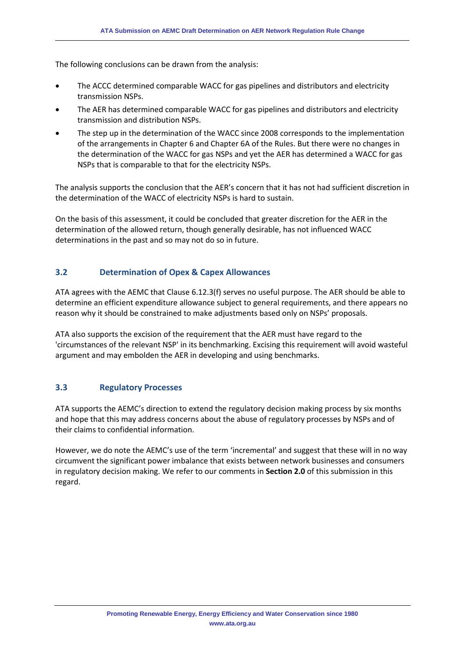The following conclusions can be drawn from the analysis:

- The ACCC determined comparable WACC for gas pipelines and distributors and electricity transmission NSPs.
- The AER has determined comparable WACC for gas pipelines and distributors and electricity transmission and distribution NSPs.
- The step up in the determination of the WACC since 2008 corresponds to the implementation of the arrangements in Chapter 6 and Chapter 6A of the Rules. But there were no changes in the determination of the WACC for gas NSPs and yet the AER has determined a WACC for gas NSPs that is comparable to that for the electricity NSPs.

The analysis supports the conclusion that the AER's concern that it has not had sufficient discretion in the determination of the WACC of electricity NSPs is hard to sustain.

On the basis of this assessment, it could be concluded that greater discretion for the AER in the determination of the allowed return, though generally desirable, has not influenced WACC determinations in the past and so may not do so in future.

## **3.2 Determination of Opex & Capex Allowances**

ATA agrees with the AEMC that Clause 6.12.3(f) serves no useful purpose. The AER should be able to determine an efficient expenditure allowance subject to general requirements, and there appears no reason why it should be constrained to make adjustments based only on NSPs' proposals.

ATA also supports the excision of the requirement that the AER must have regard to the 'circumstances of the relevant NSP' in its benchmarking. Excising this requirement will avoid wasteful argument and may embolden the AER in developing and using benchmarks.

## **3.3 Regulatory Processes**

ATA supports the AEMC's direction to extend the regulatory decision making process by six months and hope that this may address concerns about the abuse of regulatory processes by NSPs and of their claims to confidential information.

However, we do note the AEMC's use of the term 'incremental' and suggest that these will in no way circumvent the significant power imbalance that exists between network businesses and consumers in regulatory decision making. We refer to our comments in **Section 2.0** of this submission in this regard.